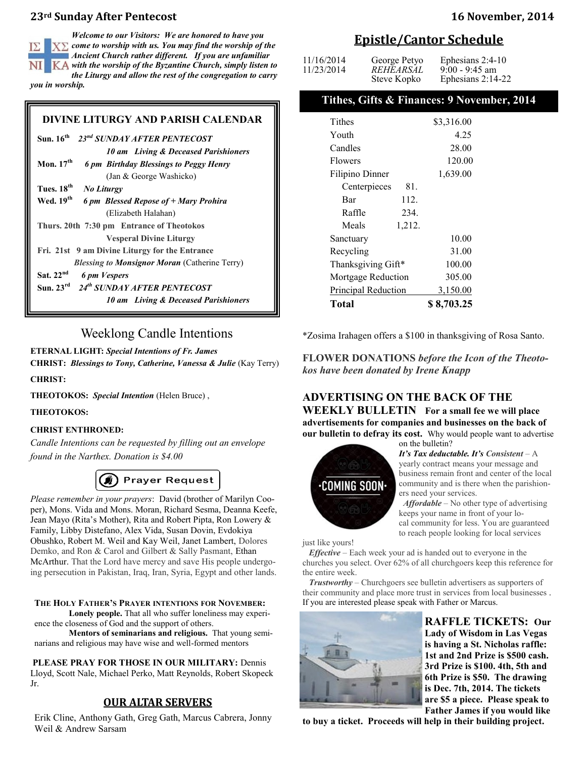## **23rd Sunday After Pentecost 16 November, 2014**

*Welcome to our Visitors: We are honored to have you*   $X\Sigma$  come to worship with us. You may find the worship of the *Ancient Church rather different. If you are unfamiliar with the worship of the Byzantine Church, simply listen to the Liturgy and allow the rest of the congregation to carry you in worship.* 

## **DIVINE LITURGY AND PARISH CALENDAR**

| Sun. $16^{th}$ 23 <sup>nd</sup> SUNDAY AFTER PENTECOST         |  |  |
|----------------------------------------------------------------|--|--|
| 10 am Living & Deceased Parishioners                           |  |  |
| Mon. $17th$<br>6 pm Birthday Blessings to Peggy Henry          |  |  |
| (Jan & George Washicko)                                        |  |  |
| Tues, 18 <sup>th</sup><br><b>No Liturgy</b>                    |  |  |
| Wed. 19 <sup>th</sup><br>6 pm Blessed Repose of + Mary Prohira |  |  |
| (Elizabeth Halahan)                                            |  |  |
| Thurs. 20th 7:30 pm Entrance of Theotokos                      |  |  |
| <b>Vesperal Divine Liturgy</b>                                 |  |  |
| Fri. 21st 9 am Divine Liturgy for the Entrance                 |  |  |
| <b>Blessing to Monsignor Moran (Catherine Terry)</b>           |  |  |
| Sat. $22nd$<br>6 pm Vespers                                    |  |  |
| Sun. 23rd 24th SUNDAY AFTER PENTECOST                          |  |  |
| 10 am Living & Deceased Parishioners                           |  |  |

## Weeklong Candle Intentions

### **ETERNAL LIGHT:** *Special Intentions of Fr. James*

**CHRIST:** *Blessings to Tony, Catherine, Vanessa & Julie* (Kay Terry)

### **CHRIST:**

**THEOTOKOS:** *Special Intention* (Helen Bruce) ,

### **THEOTOKOS:**

## **CHRIST ENTHRONED:**

*Candle Intentions can be requested by filling out an envelope found in the Narthex. Donation is \$4.00*

## **B** Prayer Request

*Please remember in your prayers*: David (brother of Marilyn Cooper), Mons. Vida and Mons. Moran, Richard Sesma, Deanna Keefe, Jean Mayo (Rita's Mother), Rita and Robert Pipta, Ron Lowery & Family, Libby Distefano, Alex Vida, Susan Dovin, Evdokiya Obushko, Robert M. Weil and Kay Weil, Janet Lambert, Dolores Demko, and Ron & Carol and Gilbert & Sally Pasmant, Ethan McArthur. That the Lord have mercy and save His people undergoing persecution in Pakistan, Iraq, Iran, Syria, Egypt and other lands.

**THE HOLY FATHER'S PRAYER INTENTIONS FOR NOVEMBER: Lonely people.** That all who suffer loneliness may experi-

ence the closeness of God and the support of others.

**Mentors of seminarians and religious.** That young seminarians and religious may have wise and well-formed mentors

**PLEASE PRAY FOR THOSE IN OUR MILITARY:** Dennis

Lloyd, Scott Nale, Michael Perko, Matt Reynolds, Robert Skopeck Jr.

## **OUR ALTAR SERVERS**

Erik Cline, Anthony Gath, Greg Gath, Marcus Cabrera, Jonny Weil & Andrew Sarsam

## **Epistle/Cantor Schedule**

| 11/16/2014<br>11/23/2014 | George Petyo<br>REHEARSAL<br>Steve Kopko | Ephesians $2:4-10$<br>$9:00 - 9:45$ am<br>Ephesians $2:14-22$ |
|--------------------------|------------------------------------------|---------------------------------------------------------------|
|--------------------------|------------------------------------------|---------------------------------------------------------------|

## **Tithes, Gifts & Finances: 9 November, 2014**

| Tithes              | \$3,316.00 |
|---------------------|------------|
| Youth               | 4.25       |
| Candles             | 28.00      |
| <b>Flowers</b>      | 120.00     |
| Filipino Dinner     | 1,639.00   |
| Centerpieces<br>81. |            |
| 112.<br>Bar         |            |
| Raffle<br>234.      |            |
| Meals<br>1,212.     |            |
| Sanctuary           | 10.00      |
| Recycling           | 31.00      |
| Thanksgiving Gift*  | 100.00     |
| Mortgage Reduction  | 305.00     |
| Principal Reduction | 3,150.00   |
| Total               | \$8,703.25 |

\*Zosima Irahagen offers a \$100 in thanksgiving of Rosa Santo.

**FLOWER DONATIONS** *before the Icon of the Theotokos have been donated by Irene Knapp* 

## **ADVERTISING ON THE BACK OF THE WEEKLY BULLETIN For a small fee we will place advertisements for companies and businesses on the back of our bulletin to defray its cost.** Why would people want to advertise

on the bulletin?



*It's Tax deductable. It's Consistent* – A yearly contract means your message and business remain front and center of the local community and is there when the parishioners need your services.

 *Affordable* – No other type of advertising keeps your name in front of your local community for less. You are guaranteed to reach people looking for local services

just like yours!

 *Effective* – Each week your ad is handed out to everyone in the churches you select. Over 62% of all churchgoers keep this reference for the entire week.

 *Trustworthy* – Churchgoers see bulletin advertisers as supporters of their community and place more trust in services from local businesses . If you are interested please speak with Father or Marcus.



**RAFFLE TICKETS: Our Lady of Wisdom in Las Vegas is having a St. Nicholas raffle: 1st and 2nd Prize is \$500 cash. 3rd Prize is \$100. 4th, 5th and 6th Prize is \$50. The drawing is Dec. 7th, 2014. The tickets are \$5 a piece. Please speak to Father James if you would like** 

**to buy a ticket. Proceeds will help in their building project.**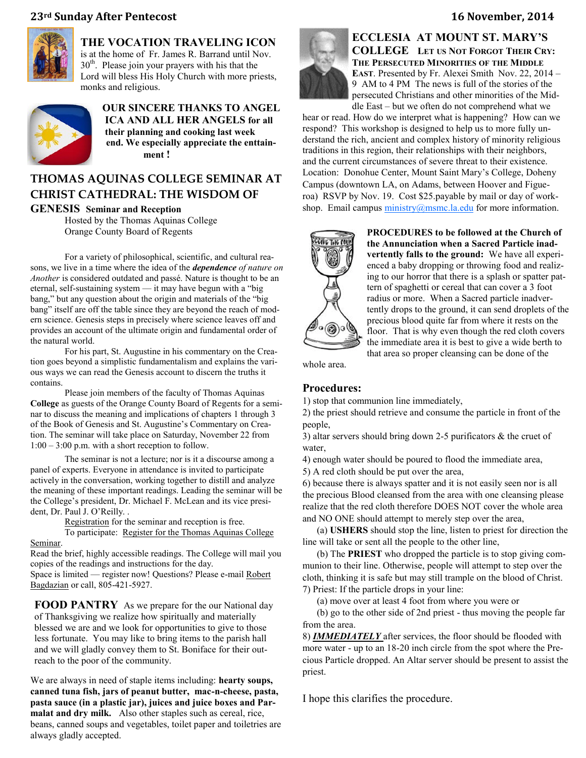## **23rd Sunday After Pentecost 16 November, 2014**

monks and religious.



## **THE VOCATION TRAVELING ICON**  is at the home of Fr. James R. Barrand until Nov. 30th. Please join your prayers with his that the Lord will bless His Holy Church with more priests,



**OUR SINCERE THANKS TO ANGEL ICA AND ALL HER ANGELS for all their planning and cooking last week end. We especially appreciate the enttainment !** 

# **THOMAS AQUINAS COLLEGE SEMINAR AT CHRIST CATHEDRAL: THE WISDOM OF**

**GENESIS Seminar and Reception**

Hosted by the Thomas Aquinas College Orange County Board of Regents

For a variety of philosophical, scientific, and cultural reasons, we live in a time where the idea of the *[dependence](http://thomasaquinas.edu/oc-seminar?utm_source=Thomas+Aquinas+College+List&utm_campaign=b4b62daf8a-Orange_County_BOR_Seminar10_21_2014&utm_medium=email&utm_term=0_934026db06-b4b62daf8a-241865929) of nature on Another* is considered outdated and passé. Nature is thought to be an eternal, self-sustaining system — it may have begun with a "big bang," but any question about the origin and materials of the "big bang" itself are off the table since they are beyond the reach of modern science. Genesis steps in precisely where science leaves off and provides an account of the ultimate origin and fundamental order of the natural world.

For his part, St. Augustine in his commentary on the Creation goes beyond a simplistic fundamentalism and explains the various ways we can read the Genesis account to discern the truths it contains.

Please join members of the faculty of Thomas Aquinas **[College](http://thomasaquinas.edu/oc-seminar?utm_source=Thomas+Aquinas+College+List&utm_campaign=b4b62daf8a-Orange_County_BOR_Seminar10_21_2014&utm_medium=email&utm_term=0_934026db06-b4b62daf8a-241865929)** as guests of the Orange County Board of Regents for a seminar to discuss the meaning and implications of chapters 1 through 3 of the Book of Genesis and St. Augustine's Commentary on Creation. The seminar will take place on Saturday, November 22 from 1:00 – 3:00 p.m. with a short reception to follow.

The seminar is not a lecture; nor is it a discourse among a panel of experts. Everyone in attendance is invited to participate actively in the conversation, working together to distill and analyze the meaning of these important readings. Leading the seminar will be the College's president, Dr. Michael F. McLean and its vice president, Dr. Paul J. O'Reilly. .

> [Registration](http://thomasaquinas.edu/oc-seminar?utm_source=Thomas+Aquinas+College+List&utm_campaign=b4b62daf8a-Orange_County_BOR_Seminar10_21_2014&utm_medium=email&utm_term=0_934026db06-b4b62daf8a-241865929#) for the seminar and reception is free. To participate: [Register for the Thomas Aquinas College](http://thomasaquinas.edu/event/christ-cathedral-registration)

[Seminar.](http://thomasaquinas.edu/event/christ-cathedral-registration)

Read the brief, highly accessible readings. The College will mail you copies of the readings and instructions for the day. Space is limited — register now! Questions? Please e-mail [Robert](mailto:rbagdazian@thomasaquinas.edu)  [Bagdazian](mailto:rbagdazian@thomasaquinas.edu) or call, 805-421-5927.

**FOOD PANTRY** As we prepare for the our National day of Thanksgiving we realize how spiritually and materially blessed we are and we look for opportunities to give to those less fortunate. You may like to bring items to the parish hall and we will gladly convey them to St. Boniface for their outreach to the poor of the community.

We are always in need of staple items including: **hearty soups, canned tuna fish, jars of peanut butter, mac-n-cheese, pasta, pasta sauce (in a plastic jar), juices and juice boxes and Parmalat and dry milk.** Also other staples such as cereal, rice, beans, canned soups and vegetables, toilet paper and toiletries are always gladly accepted.



**ECCLESIA AT MOUNT ST. MARY'S COLLEGE LET US NOT FORGOT THEIR CRY: THE PERSECUTED MINORITIES OF THE MIDDLE EAST**. Presented by Fr. Alexei Smith Nov. 22, 2014 – 9 AM to 4 PM The news is full of the stories of the persecuted Christians and other minorities of the Middle East – but we often do not comprehend what we

hear or read. How do we interpret what is happening? How can we respond? This workshop is designed to help us to more fully understand the rich, ancient and complex history of minority religious traditions in this region, their relationships with their neighbors, and the current circumstances of severe threat to their existence. Location: Donohue Center, Mount Saint Mary's College, Doheny Campus (downtown LA, on Adams, between Hoover and Figueroa) RSVP by Nov. 19. Cost \$25.payable by mail or day of workshop. Email campus  $ministry@msmc.la.edu$  for more information.



**PROCEDURES to be followed at the Church of the Annunciation when a Sacred Particle inadvertently falls to the ground:** We have all experienced a baby dropping or throwing food and realizing to our horror that there is a splash or spatter pattern of spaghetti or cereal that can cover a 3 foot radius or more. When a Sacred particle inadvertently drops to the ground, it can send droplets of the precious blood quite far from where it rests on the floor. That is why even though the red cloth covers the immediate area it is best to give a wide berth to that area so proper cleansing can be done of the

whole area.

## **Procedures:**

1) stop that communion line immediately,

2) the priest should retrieve and consume the particle in front of the people,

3) altar servers should bring down 2-5 purificators & the cruet of water

4) enough water should be poured to flood the immediate area, 5) A red cloth should be put over the area,

6) because there is always spatter and it is not easily seen nor is all the precious Blood cleansed from the area with one cleansing please realize that the red cloth therefore DOES NOT cover the whole area and NO ONE should attempt to merely step over the area,

 (a) **USHERS** should stop the line, listen to priest for direction the line will take or sent all the people to the other line,

 (b) The **PRIEST** who dropped the particle is to stop giving communion to their line. Otherwise, people will attempt to step over the cloth, thinking it is safe but may still trample on the blood of Christ. 7) Priest: If the particle drops in your line:

(a) move over at least 4 foot from where you were or

 (b) go to the other side of 2nd priest - thus moving the people far from the area.

8) *IMMEDIATELY* after services, the floor should be flooded with more water - up to an 18-20 inch circle from the spot where the Precious Particle dropped. An Altar server should be present to assist the priest.

I hope this clarifies the procedure.